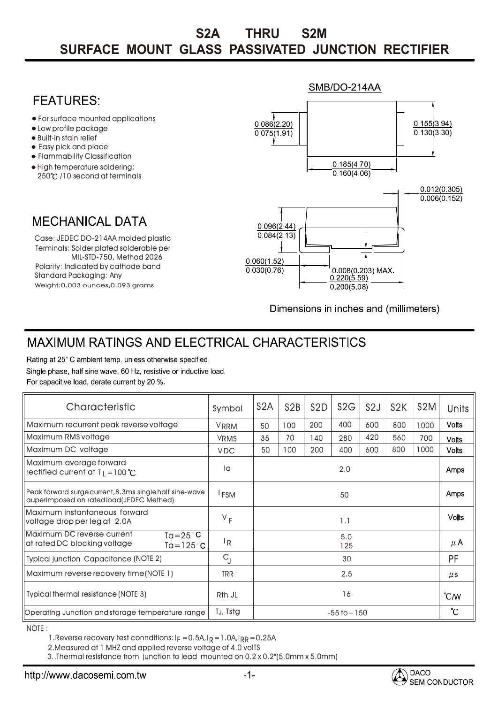## **SURFACE MOUNT GLASS PASSIVATED JUNCTION RECTIFIER S2A THRU S2M**

## SMB/DO-214AA **FFATURFS** For surface mounted applications  $0.086(2.20)$  $0.155(3.94)$ Low profile package  $0.075(1.91)$  $0.130(3.30)$ • Built-in stain relief t Easy pick and place Flammability Classification  $0.185(4.70)$ High temperature soldering:  $0.160(4.06)$ 250℃ /10 second at terminals  $0.012(0.305)$  $0.006(0.152)$ **MECHANICAL DATA**  $0.096(2.44)$  $0.084(2.13)$ Case: JEDEC DO-214AA molded plastic Terminals: Solder plated solderable per MIL-STD-750, Method 2026  $0.060(1.52)$ Polarity: Indicated by cathode band  $0.008(0.203)$  MAX  $0.030(0.76)$ Standard Packaging: Any  $0.220(5.59)$ Weight:0.003 ounces,0.093 grams  $0.200(5.08)$

Dimensions in inches and (millimeters)

## **MAXIMUM RATINGS AND ELECTRICAL CHARACTERISTICS**

Rating at 25°C ambient temp. unless otherwise specified. Single phase, half sine wave, 60 Hz, resistive or inductive load. For capacitive load, derate current by 20 %.

| Characteristic                                                                                          | Symbol             | S <sub>2</sub> A | S <sub>2</sub> B | S <sub>2</sub> D | S2G | S <sub>2</sub> J | S2K | S <sub>2</sub> M | Units        |
|---------------------------------------------------------------------------------------------------------|--------------------|------------------|------------------|------------------|-----|------------------|-----|------------------|--------------|
| Maximum recurrent peak reverse voltage                                                                  | <b>VRRM</b>        | 50               | 100              | 200              | 400 | 600              | 800 | 1000             | <b>Volts</b> |
| Maximum RMS voltage                                                                                     | <b>VRMS</b>        | 35               | 70               | 140              | 280 | 420              | 560 | 700              | <b>Volts</b> |
| Maximum DC voltage                                                                                      | <b>VDC</b>         | 50               | 100              | 200              | 400 | 600              | 800 | 1000             | <b>Volts</b> |
| Maximum average forward<br>rectified current at $T_1 = 100 °C$                                          | lo                 | 2.0              |                  |                  |     |                  |     |                  | Amps         |
| Peak forward surge current, 8.3ms single half sine-wave<br>auperimposed on rated load(JEDEC Methed)     | <sup>I</sup> FSM   | 50               |                  |                  |     |                  |     |                  | <b>Amps</b>  |
| Maximum instantaneous forward<br>voltage drop per leg at 2.0A                                           | V <sub>F</sub>     | 1.1              |                  |                  |     |                  |     |                  | <b>Volts</b> |
| Maximum DC reverse current<br>$Ta = 25^{\circ}C$<br>at rated DC blocking voltage<br>Ta=125 $^{\circ}$ C | <sup> </sup> R     | 5.0<br>125       |                  |                  |     |                  |     | $\mu$ A          |              |
| <b>Typical junction Capacitance (NOTE 2)</b>                                                            | $C_{\rm l}$        | 30               |                  |                  |     |                  |     | <b>PF</b>        |              |
| Maximum reverse recovery time (NOTE 1)                                                                  | <b>TRR</b>         | 2.5              |                  |                  |     |                  |     | $\mu$ s          |              |
| <b>Typical thermal resistance (NOTE 3)</b>                                                              | R <sub>th</sub> JL | 16               |                  |                  |     |                  |     | $\mathcal{C}$ /W |              |
| Operating Junction and storage temperature range                                                        | TJ, Tstg           | $-55$ to $+150$  |                  |                  |     |                  |     |                  | °С           |

NOTE :

1.Reverse recovery test connditions: I $_{\mathsf{F}}$  =0.5A,I $_{\mathsf{R}}$ =1.0A,I $_{\mathsf{RR}}$ =0.25A

2.Measured at 1 MHZ and applied reverse voltage of 4.0 volTS

3..Thermal resistance from junction to lead mounted on 0.2 x 0.2"(5.0mm x 5.0mm)